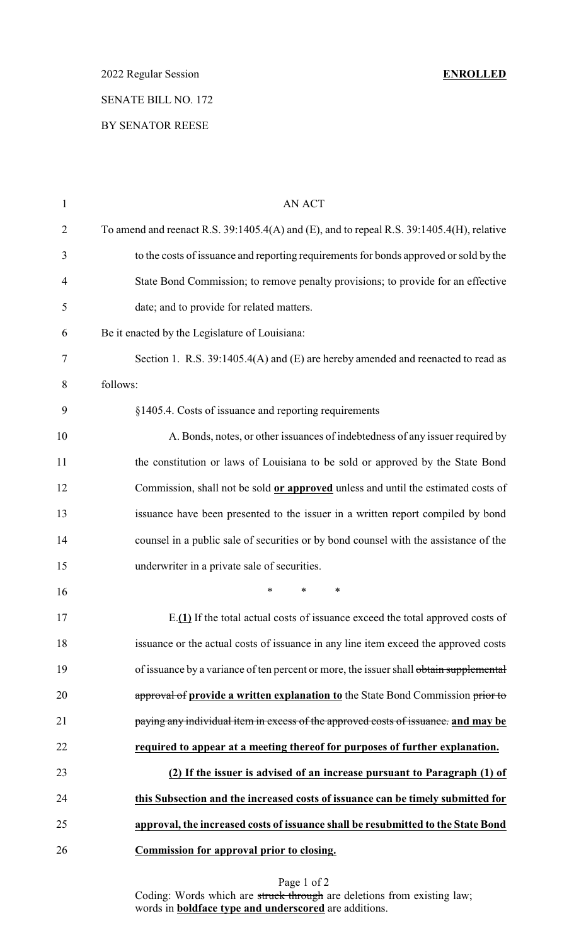2022 Regular Session **ENROLLED**

## SENATE BILL NO. 172

#### BY SENATOR REESE

| $\mathbf{1}$   | AN ACT                                                                                         |
|----------------|------------------------------------------------------------------------------------------------|
| $\overline{2}$ | To amend and reenact R.S. $39:1405.4(A)$ and (E), and to repeal R.S. $39:1405.4(H)$ , relative |
| 3              | to the costs of issuance and reporting requirements for bonds approved or sold by the          |
| 4              | State Bond Commission; to remove penalty provisions; to provide for an effective               |
| 5              | date; and to provide for related matters.                                                      |
| 6              | Be it enacted by the Legislature of Louisiana:                                                 |
| 7              | Section 1. R.S. 39:1405.4(A) and (E) are hereby amended and reenacted to read as               |
| 8              | follows:                                                                                       |
| 9              | §1405.4. Costs of issuance and reporting requirements                                          |
| 10             | A. Bonds, notes, or other issuances of indebtedness of any issuer required by                  |
| 11             | the constitution or laws of Louisiana to be sold or approved by the State Bond                 |
| 12             | Commission, shall not be sold or approved unless and until the estimated costs of              |
| 13             | issuance have been presented to the issuer in a written report compiled by bond                |
| 14             | counsel in a public sale of securities or by bond counsel with the assistance of the           |
| 15             | underwriter in a private sale of securities.                                                   |
| 16             | ∗<br>$\ast$<br>∗                                                                               |
| 17             | E.(1) If the total actual costs of issuance exceed the total approved costs of                 |
| 18             | issuance or the actual costs of issuance in any line item exceed the approved costs            |
| 19             | of issuance by a variance of ten percent or more, the issuer shall obtain supplemental         |
| 20             | approval of provide a written explanation to the State Bond Commission prior to                |
| 21             | paying any individual item in excess of the approved costs of issuance. and may be             |
| 22             | required to appear at a meeting thereof for purposes of further explanation.                   |
| 23             | (2) If the issuer is advised of an increase pursuant to Paragraph (1) of                       |
| 24             | this Subsection and the increased costs of issuance can be timely submitted for                |
| 25             | approval, the increased costs of issuance shall be resubmitted to the State Bond               |
| 26             | <b>Commission for approval prior to closing.</b>                                               |
|                |                                                                                                |

Page 1 of 2 Coding: Words which are struck through are deletions from existing law; words in **boldface type and underscored** are additions.